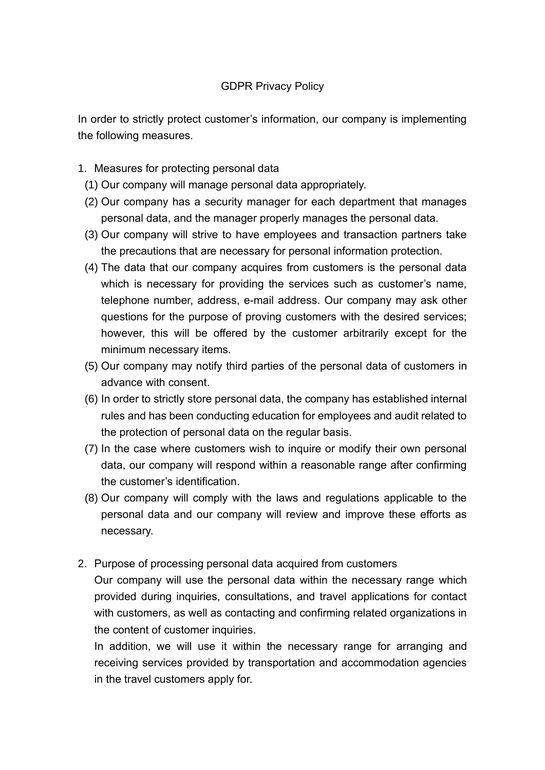## GDPR Privacy Policy

In order to strictly protect customer's information, our company is implementing the following measures.

- 1. Measures for protecting personal data
	- (1) Our company will manage personal data appropriately.
	- (2) Our company has a security manager for each department that manages personal data, and the manager properly manages the personal data.
	- (3) Our company will strive to have employees and transaction partners take the precautions that are necessary for personal information protection.
	- (4) The data that our company acquires from customers is the personal data which is necessary for providing the services such as customer's name, telephone number, address, e-mail address. Our company may ask other questions for the purpose of proving customers with the desired services; however, this will be offered by the customer arbitrarily except for the minimum necessary items.
	- (5) Our company may notify third parties of the personal data of customers in advance with consent.
	- (6) In order to strictly store personal data, the company has established internal rules and has been conducting education for employees and audit related to the protection of personal data on the regular basis.
	- (7) In the case where customers wish to inquire or modify their own personal data, our company will respond within a reasonable range after confirming the customer's identification.
	- (8) Our company will comply with the laws and regulations applicable to the personal data and our company will review and improve these efforts as necessary.
- 2. Purpose of processing personal data acquired from customers

Our company will use the personal data within the necessary range which provided during inquiries, consultations, and travel applications for contact with customers, as well as contacting and confirming related organizations in the content of customer inquiries.

In addition, we will use it within the necessary range for arranging and receiving services provided by transportation and accommodation agencies in the travel customers apply for.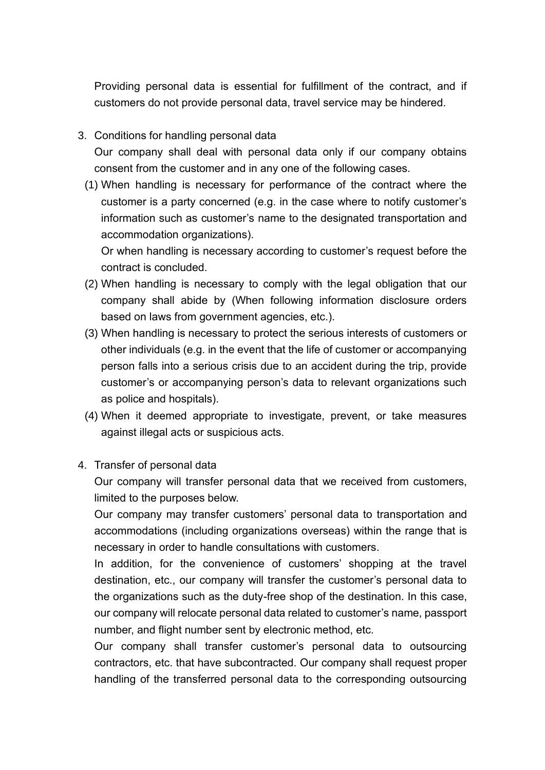Providing personal data is essential for fulfillment of the contract, and if customers do not provide personal data, travel service may be hindered.

- 3. Conditions for handling personal data Our company shall deal with personal data only if our company obtains consent from the customer and in any one of the following cases.
	- (1) When handling is necessary for performance of the contract where the customer is a party concerned (e.g. in the case where to notify customer's information such as customer's name to the designated transportation and accommodation organizations).

Or when handling is necessary according to customer's request before the contract is concluded.

- (2) When handling is necessary to comply with the legal obligation that our company shall abide by (When following information disclosure orders based on laws from government agencies, etc.).
- (3) When handling is necessary to protect the serious interests of customers or other individuals (e.g. in the event that the life of customer or accompanying person falls into a serious crisis due to an accident during the trip, provide customer's or accompanying person's data to relevant organizations such as police and hospitals).
- (4) When it deemed appropriate to investigate, prevent, or take measures against illegal acts or suspicious acts.
- 4. Transfer of personal data

Our company will transfer personal data that we received from customers, limited to the purposes below.

Our company may transfer customers' personal data to transportation and accommodations (including organizations overseas) within the range that is necessary in order to handle consultations with customers.

In addition, for the convenience of customers' shopping at the travel destination, etc., our company will transfer the customer's personal data to the organizations such as the duty-free shop of the destination. In this case, our company will relocate personal data related to customer's name, passport number, and flight number sent by electronic method, etc.

Our company shall transfer customer's personal data to outsourcing contractors, etc. that have subcontracted. Our company shall request proper handling of the transferred personal data to the corresponding outsourcing